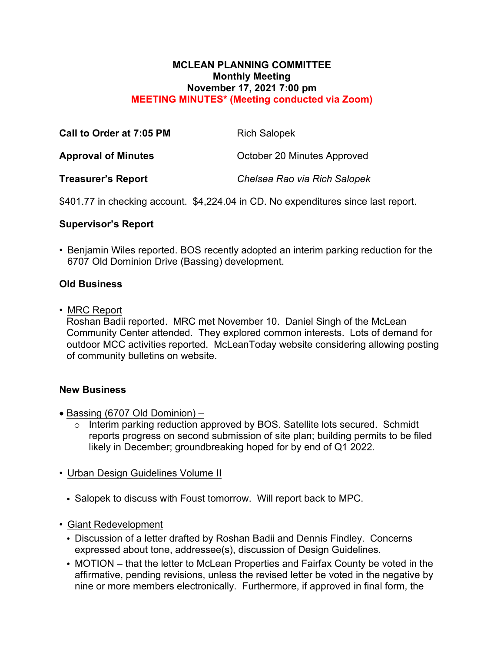### **MCLEAN PLANNING COMMITTEE Monthly Meeting November 17, 2021 7:00 pm MEETING MINUTES\* (Meeting conducted via Zoom)**

| Call to Order at 7:05 PM   | <b>Rich Salopek</b>          |
|----------------------------|------------------------------|
| <b>Approval of Minutes</b> | October 20 Minutes Approved  |
| <b>Treasurer's Report</b>  | Chelsea Rao via Rich Salopek |

\$401.77 in checking account. \$4,224.04 in CD. No expenditures since last report.

# **Supervisor's Report**

• Benjamin Wiles reported. BOS recently adopted an interim parking reduction for the 6707 Old Dominion Drive (Bassing) development.

# **Old Business**

• MRC Report

Roshan Badii reported. MRC met November 10. Daniel Singh of the McLean Community Center attended. They explored common interests. Lots of demand for outdoor MCC activities reported. McLeanToday website considering allowing posting of community bulletins on website.

## **New Business**

- Bassing (6707 Old Dominion)
	- o Interim parking reduction approved by BOS. Satellite lots secured. Schmidt reports progress on second submission of site plan; building permits to be filed likely in December; groundbreaking hoped for by end of Q1 2022.
- Urban Design Guidelines Volume II
	- Salopek to discuss with Foust tomorrow. Will report back to MPC.
- Giant Redevelopment
	- Discussion of a letter drafted by Roshan Badii and Dennis Findley. Concerns expressed about tone, addressee(s), discussion of Design Guidelines.
	- MOTION that the letter to McLean Properties and Fairfax County be voted in the affirmative, pending revisions, unless the revised letter be voted in the negative by nine or more members electronically. Furthermore, if approved in final form, the